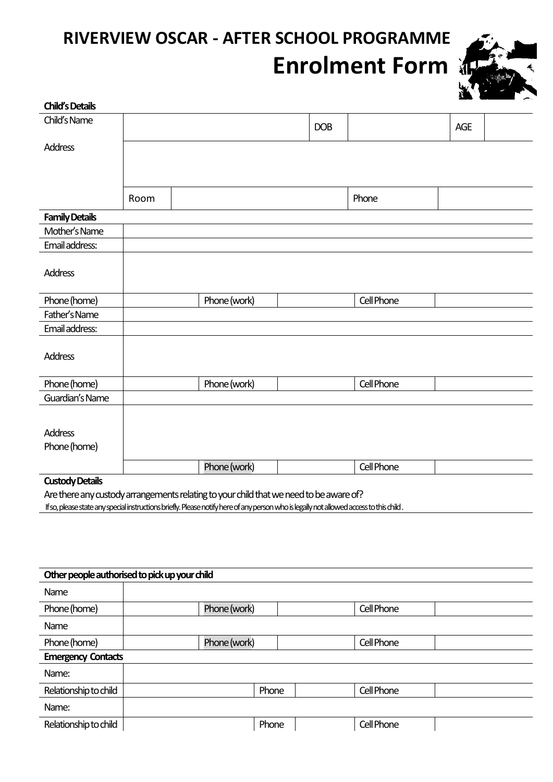# **RIVERVIEW OSCAR - AFTER SCHOOL PROGRAMME Enrolment Form**



| <b>Child's Details</b> |      |              |            |            |     |  |
|------------------------|------|--------------|------------|------------|-----|--|
| Child's Name           |      |              | <b>DOB</b> |            | AGE |  |
| <b>Address</b>         |      |              |            |            |     |  |
|                        |      |              |            |            |     |  |
|                        |      |              |            |            |     |  |
|                        | Room |              |            | Phone      |     |  |
| <b>Family Details</b>  |      |              |            |            |     |  |
| Mother's Name          |      |              |            |            |     |  |
| Email address:         |      |              |            |            |     |  |
| <b>Address</b>         |      |              |            |            |     |  |
| Phone (home)           |      | Phone (work) |            | Cell Phone |     |  |
| Father's Name          |      |              |            |            |     |  |
| Email address:         |      |              |            |            |     |  |
| <b>Address</b>         |      |              |            |            |     |  |
| Phone (home)           |      | Phone (work) |            | Cell Phone |     |  |
| Guardian's Name        |      |              |            |            |     |  |
|                        |      |              |            |            |     |  |
| <b>Address</b>         |      |              |            |            |     |  |
| Phone (home)           |      |              |            |            |     |  |
|                        |      | Phone (work) |            | Cell Phone |     |  |
| <b>Custody Details</b> |      |              |            |            |     |  |

Are there any custody arrangements relating to your child that we need to be aware of?

If so,please state any special instructions briefly. Please notify here of any person who is legally not allowed access to this child .

| Other people authorised to pick up your child |              |       |            |  |  |  |
|-----------------------------------------------|--------------|-------|------------|--|--|--|
| Name                                          |              |       |            |  |  |  |
| Phone (home)                                  | Phone (work) |       | Cell Phone |  |  |  |
| Name                                          |              |       |            |  |  |  |
| Phone (home)                                  | Phone (work) |       | Cell Phone |  |  |  |
| <b>Emergency Contacts</b>                     |              |       |            |  |  |  |
| Name:                                         |              |       |            |  |  |  |
| Relationship to child                         |              | Phone | Cell Phone |  |  |  |
| Name:                                         |              |       |            |  |  |  |
| Relationship to child                         |              | Phone | Cell Phone |  |  |  |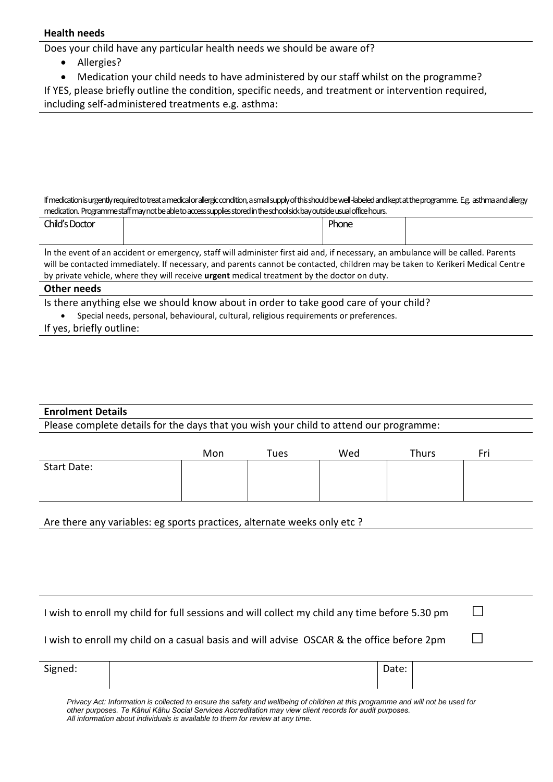#### **Health needs**

Does your child have any particular health needs we should be aware of?

- Allergies?
- Medication your child needs to have administered by our staff whilst on the programme?

|  |  |  |  |  |  | If YES, please briefly outline the condition, specific needs, and treatment or intervention required, |
|--|--|--|--|--|--|-------------------------------------------------------------------------------------------------------|
|--|--|--|--|--|--|-------------------------------------------------------------------------------------------------------|

including self-administered treatments e.g. asthma:

If medication is urgently required to treat a medical or allergic condition,a small supply of this should be well -labeled and kept atthe programme. E.g. asthma and allergy medication. Programme staff may not be able to access supplies stored in the school sick bay outside usual office hours.

| Child's Doctor                                                                                                                    |  | Phone |  |  |  |
|-----------------------------------------------------------------------------------------------------------------------------------|--|-------|--|--|--|
|                                                                                                                                   |  |       |  |  |  |
| In the event of an accident or emergency, staff will administer first aid and, if necessary, an ambulance will be called. Parents |  |       |  |  |  |
| will be contacted immediately. If necessary, and parents cannot be contacted, children may be taken to Kerikeri Medical Centre    |  |       |  |  |  |
| by private vehicle, where they will receive <b>urgent</b> medical treatment by the doctor on duty.                                |  |       |  |  |  |

#### **Other needs**

Is there anything else we should know about in order to take good care of your child?

- Special needs, personal, behavioural, cultural, religious requirements or preferences.
- If yes, briefly outline:

#### **Enrolment Details**

Please complete details for the days that you wish your child to attend our programme:

|                    | Mon | Tues | Wed | Thurs | Fri |
|--------------------|-----|------|-----|-------|-----|
| <b>Start Date:</b> |     |      |     |       |     |
|                    |     |      |     |       |     |
|                    |     |      |     |       |     |

Are there any variables: eg sports practices, alternate weeks only etc ?

| I wish to enroll my child for full sessions and will collect my child any time before 5.30 pm |  |
|-----------------------------------------------------------------------------------------------|--|
| I wish to enroll my child on a casual basis and will advise OSCAR & the office before 2pm     |  |

Signed: No. 2016 | Date: No. 2016 | Date: No. 2016 | Date: No. 2016 | Date: No. 2016 | Date: No. 2016 | Date:

*Privacy Act: Information is collected to ensure the safety and wellbeing of children at this programme and will not be used for other purposes. Te Kāhui Kāhu Social Services Accreditation may view client records for audit purposes. All information about individuals is available to them for review at any time.*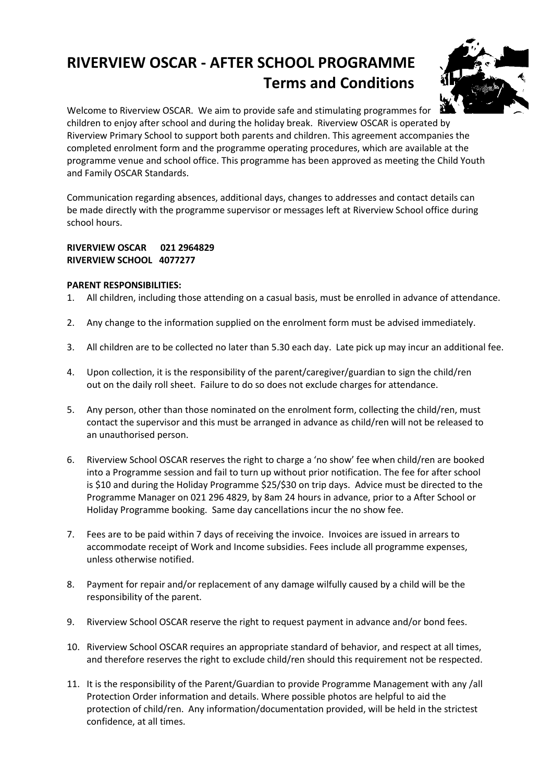# **RIVERVIEW OSCAR - AFTER SCHOOL PROGRAMME Terms and Conditions**



Welcome to Riverview OSCAR. We aim to provide safe and stimulating programmes for children to enjoy after school and during the holiday break. Riverview OSCAR is operated by Riverview Primary School to support both parents and children. This agreement accompanies the completed enrolment form and the programme operating procedures, which are available at the programme venue and school office. This programme has been approved as meeting the Child Youth and Family OSCAR Standards.

Communication regarding absences, additional days, changes to addresses and contact details can be made directly with the programme supervisor or messages left at Riverview School office during school hours.

# **RIVERVIEW OSCAR 021 2964829 RIVERVIEW SCHOOL 4077277**

#### **PARENT RESPONSIBILITIES:**

- 1. All children, including those attending on a casual basis, must be enrolled in advance of attendance.
- 2. Any change to the information supplied on the enrolment form must be advised immediately.
- 3. All children are to be collected no later than 5.30 each day. Late pick up may incur an additional fee.
- 4. Upon collection, it is the responsibility of the parent/caregiver/guardian to sign the child/ren out on the daily roll sheet. Failure to do so does not exclude charges for attendance.
- 5. Any person, other than those nominated on the enrolment form, collecting the child/ren, must contact the supervisor and this must be arranged in advance as child/ren will not be released to an unauthorised person.
- 6. Riverview School OSCAR reserves the right to charge a 'no show' fee when child/ren are booked into a Programme session and fail to turn up without prior notification. The fee for after school is \$10 and during the Holiday Programme \$25/\$30 on trip days. Advice must be directed to the Programme Manager on 021 296 4829, by 8am 24 hours in advance, prior to a After School or Holiday Programme booking. Same day cancellations incur the no show fee.
- 7. Fees are to be paid within 7 days of receiving the invoice. Invoices are issued in arrears to accommodate receipt of Work and Income subsidies. Fees include all programme expenses, unless otherwise notified.
- 8. Payment for repair and/or replacement of any damage wilfully caused by a child will be the responsibility of the parent.
- 9. Riverview School OSCAR reserve the right to request payment in advance and/or bond fees.
- 10. Riverview School OSCAR requires an appropriate standard of behavior, and respect at all times, and therefore reserves the right to exclude child/ren should this requirement not be respected.
- 11. It is the responsibility of the Parent/Guardian to provide Programme Management with any /all Protection Order information and details. Where possible photos are helpful to aid the protection of child/ren. Any information/documentation provided, will be held in the strictest confidence, at all times.